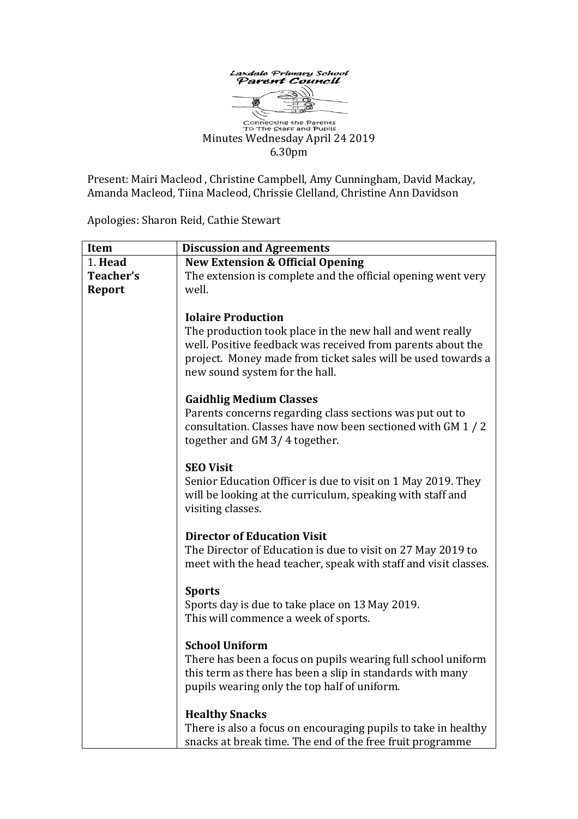

**Connecting the Parents**<br>To The Staff and Pupils Minutes Wednesday April 24 2019 6.30pm

Present: Mairi Macleod , Christine Campbell, Amy Cunningham, David Mackay, Amanda Macleod, Tiina Macleod, Chrissie Clelland, Christine Ann Davidson

Apologies: Sharon Reid, Cathie Stewart

| Item                       | <b>Discussion and Agreements</b>                                                                                                                                                                                                                        |
|----------------------------|---------------------------------------------------------------------------------------------------------------------------------------------------------------------------------------------------------------------------------------------------------|
| 1. Head                    | <b>New Extension &amp; Official Opening</b>                                                                                                                                                                                                             |
| Teacher's<br><b>Report</b> | The extension is complete and the official opening went very<br>well.                                                                                                                                                                                   |
|                            | <b>Iolaire Production</b><br>The production took place in the new hall and went really<br>well. Positive feedback was received from parents about the<br>project. Money made from ticket sales will be used towards a<br>new sound system for the hall. |
|                            | <b>Gaidhlig Medium Classes</b><br>Parents concerns regarding class sections was put out to<br>consultation. Classes have now been sectioned with GM 1 / 2<br>together and GM 3/4 together.                                                              |
|                            | <b>SEO Visit</b><br>Senior Education Officer is due to visit on 1 May 2019. They<br>will be looking at the curriculum, speaking with staff and<br>visiting classes.                                                                                     |
|                            | <b>Director of Education Visit</b><br>The Director of Education is due to visit on 27 May 2019 to<br>meet with the head teacher, speak with staff and visit classes.                                                                                    |
|                            | <b>Sports</b><br>Sports day is due to take place on 13 May 2019.<br>This will commence a week of sports.                                                                                                                                                |
|                            | <b>School Uniform</b><br>There has been a focus on pupils wearing full school uniform<br>this term as there has been a slip in standards with many<br>pupils wearing only the top half of uniform.                                                      |
|                            | <b>Healthy Snacks</b><br>There is also a focus on encouraging pupils to take in healthy<br>snacks at break time. The end of the free fruit programme                                                                                                    |